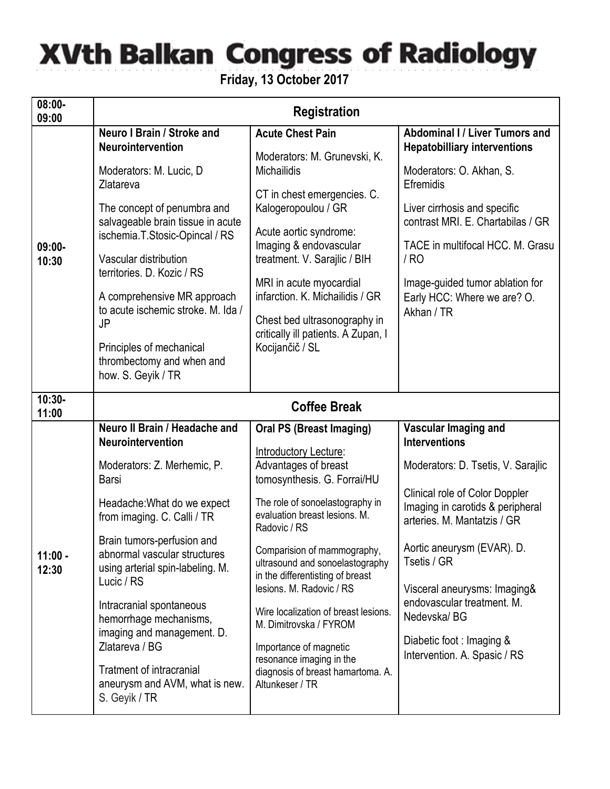## **XVth Balkan Congress of Radiology**

**Friday, 13 October 2017**

| $08:00 -$<br>09:00 | <b>Registration</b>                                                                                          |                                                                                                                                                                                                                                                                                                                                                    |                                                                                                   |  |  |
|--------------------|--------------------------------------------------------------------------------------------------------------|----------------------------------------------------------------------------------------------------------------------------------------------------------------------------------------------------------------------------------------------------------------------------------------------------------------------------------------------------|---------------------------------------------------------------------------------------------------|--|--|
| $09:00 -$<br>10:30 | Neuro I Brain / Stroke and<br><b>Neurointervention</b>                                                       | <b>Acute Chest Pain</b>                                                                                                                                                                                                                                                                                                                            | Abdominal I / Liver Tumors and<br><b>Hepatobilliary interventions</b>                             |  |  |
|                    | Moderators: M. Lucic, D<br>Zlatareva                                                                         | Moderators: M. Grunevski, K.<br><b>Michailidis</b>                                                                                                                                                                                                                                                                                                 | Moderators: O. Akhan, S.<br>Efremidis                                                             |  |  |
|                    | The concept of penumbra and<br>salvageable brain tissue in acute<br>ischemia.T.Stosic-Opincal / RS           | CT in chest emergencies. C.<br>Kalogeropoulou / GR                                                                                                                                                                                                                                                                                                 | Liver cirrhosis and specific                                                                      |  |  |
|                    |                                                                                                              | Acute aortic syndrome:<br>Imaging & endovascular                                                                                                                                                                                                                                                                                                   | contrast MRI. E. Chartabilas / GR<br>TACE in multifocal HCC. M. Grasu                             |  |  |
|                    | Vascular distribution<br>territories. D. Kozic / RS                                                          | treatment. V. Sarajlic / BIH                                                                                                                                                                                                                                                                                                                       | / RO                                                                                              |  |  |
|                    | A comprehensive MR approach<br>to acute ischemic stroke. M. Ida /<br>JP                                      | MRI in acute myocardial<br>infarction. K. Michailidis / GR                                                                                                                                                                                                                                                                                         | Image-guided tumor ablation for<br>Early HCC: Where we are? O.                                    |  |  |
|                    |                                                                                                              | Chest bed ultrasonography in<br>critically ill patients. A Zupan, I                                                                                                                                                                                                                                                                                | Akhan / TR                                                                                        |  |  |
|                    | Principles of mechanical<br>thrombectomy and when and<br>how. S. Geyik / TR                                  | Kocijančič / SL                                                                                                                                                                                                                                                                                                                                    |                                                                                                   |  |  |
| $10:30 -$<br>11:00 | <b>Coffee Break</b>                                                                                          |                                                                                                                                                                                                                                                                                                                                                    |                                                                                                   |  |  |
| $11:00 -$<br>12:30 | Neuro II Brain / Headache and<br><b>Neurointervention</b>                                                    | <b>Oral PS (Breast Imaging)</b>                                                                                                                                                                                                                                                                                                                    | Vascular Imaging and<br><b>Interventions</b>                                                      |  |  |
|                    | Moderators: Z. Merhemic, P.<br>Barsi                                                                         | Introductory Lecture:<br>Advantages of breast<br>tomosynthesis. G. Forrai/HU                                                                                                                                                                                                                                                                       | Moderators: D. Tsetis, V. Sarajlic                                                                |  |  |
|                    | Headache: What do we expect<br>from imaging. C. Calli / TR                                                   | The role of sonoelastography in<br>evaluation breast lesions. M.<br>Radovic / RS                                                                                                                                                                                                                                                                   | Clinical role of Color Doppler<br>Imaging in carotids & peripheral<br>arteries, M. Mantatzis / GR |  |  |
|                    | Brain tumors-perfusion and<br>abnormal vascular structures<br>using arterial spin-labeling. M.<br>Lucic / RS | Comparision of mammography,<br>ultrasound and sonoelastography<br>in the differentisting of breast                                                                                                                                                                                                                                                 | Aortic aneurysm (EVAR). D.<br>Tsetis / GR                                                         |  |  |
|                    | Intracranial spontaneous<br>hemorrhage mechanisms,<br>imaging and management. D.                             | lesions. M. Radovic / RS<br>Visceral aneurysms: Imaging&<br>endovascular treatment. M.<br>Wire localization of breast lesions.<br>Nedevska/BG<br>M. Dimitrovska / FYROM<br>Diabetic foot : Imaging &<br>Importance of magnetic<br>Intervention. A. Spasic / RS<br>resonance imaging in the<br>diagnosis of breast hamartoma. A.<br>Altunkeser / TR |                                                                                                   |  |  |
|                    | Zlatareva / BG                                                                                               |                                                                                                                                                                                                                                                                                                                                                    |                                                                                                   |  |  |
|                    | <b>Tratment of intracranial</b><br>aneurysm and AVM, what is new.<br>S. Geyik / TR                           |                                                                                                                                                                                                                                                                                                                                                    |                                                                                                   |  |  |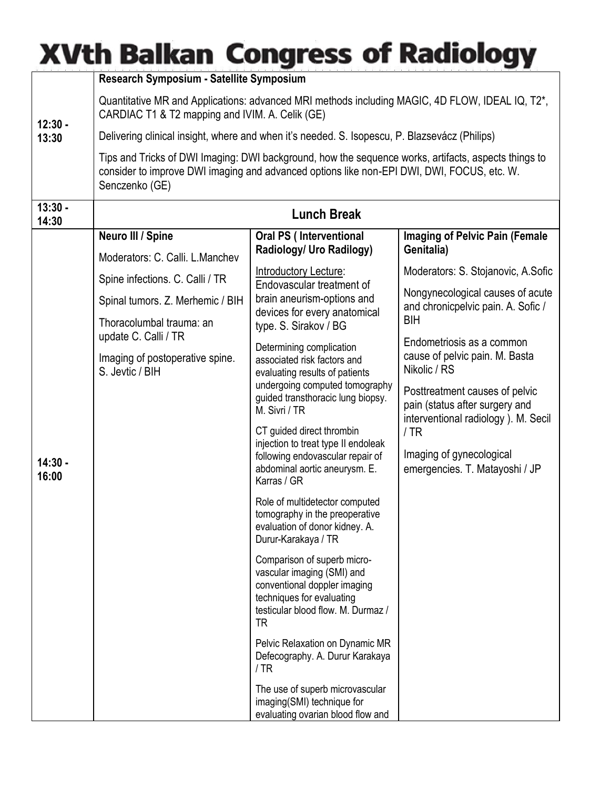## **XVth Balkan Congress of Radiology**

|                    | Research Symposium - Satellite Symposium                                                                                                                                                                             |                                                                                                                                                                                   |                                                                                                         |  |  |
|--------------------|----------------------------------------------------------------------------------------------------------------------------------------------------------------------------------------------------------------------|-----------------------------------------------------------------------------------------------------------------------------------------------------------------------------------|---------------------------------------------------------------------------------------------------------|--|--|
| $12:30 -$<br>13:30 | Quantitative MR and Applications: advanced MRI methods including MAGIC, 4D FLOW, IDEAL IQ, T2*,<br>CARDIAC T1 & T2 mapping and IVIM. A. Celik (GE)                                                                   |                                                                                                                                                                                   |                                                                                                         |  |  |
|                    | Delivering clinical insight, where and when it's needed. S. Isopescu, P. Blazsevácz (Philips)                                                                                                                        |                                                                                                                                                                                   |                                                                                                         |  |  |
|                    | Tips and Tricks of DWI Imaging: DWI background, how the sequence works, artifacts, aspects things to<br>consider to improve DWI imaging and advanced options like non-EPI DWI, DWI, FOCUS, etc. W.<br>Senczenko (GE) |                                                                                                                                                                                   |                                                                                                         |  |  |
| $13:30 -$<br>14:30 | <b>Lunch Break</b>                                                                                                                                                                                                   |                                                                                                                                                                                   |                                                                                                         |  |  |
|                    | Neuro III / Spine                                                                                                                                                                                                    | <b>Oral PS (Interventional</b>                                                                                                                                                    | <b>Imaging of Pelvic Pain (Female</b>                                                                   |  |  |
|                    | Moderators: C. Calli. L. Manchev                                                                                                                                                                                     | Radiology/ Uro Radilogy)                                                                                                                                                          | Genitalia)                                                                                              |  |  |
|                    | Spine infections. C. Calli / TR                                                                                                                                                                                      | Introductory Lecture:<br>Endovascular treatment of<br>brain aneurism-options and<br>devices for every anatomical<br>type. S. Sirakov / BG                                         | Moderators: S. Stojanovic, A. Sofic                                                                     |  |  |
|                    | Spinal tumors. Z. Merhemic / BIH                                                                                                                                                                                     |                                                                                                                                                                                   | Nongynecological causes of acute<br>and chronicpelvic pain. A. Sofic /<br>BIH                           |  |  |
|                    | Thoracolumbal trauma: an                                                                                                                                                                                             |                                                                                                                                                                                   |                                                                                                         |  |  |
|                    | update C. Calli / TR                                                                                                                                                                                                 | Determining complication<br>associated risk factors and<br>evaluating results of patients<br>undergoing computed tomography<br>guided transthoracic lung biopsy.<br>M. Sivri / TR | Endometriosis as a common                                                                               |  |  |
|                    | Imaging of postoperative spine.<br>S. Jevtic / BIH                                                                                                                                                                   |                                                                                                                                                                                   | cause of pelvic pain. M. Basta<br>Nikolic / RS                                                          |  |  |
|                    |                                                                                                                                                                                                                      |                                                                                                                                                                                   | Posttreatment causes of pelvic<br>pain (status after surgery and<br>interventional radiology). M. Secil |  |  |
|                    |                                                                                                                                                                                                                      | CT guided direct thrombin<br>injection to treat type II endoleak                                                                                                                  | /TR                                                                                                     |  |  |
| $14:30 -$<br>16:00 |                                                                                                                                                                                                                      | following endovascular repair of<br>abdominal aortic aneurysm. E.<br>Karras / GR                                                                                                  | Imaging of gynecological<br>emergencies. T. Matayoshi / JP                                              |  |  |
|                    |                                                                                                                                                                                                                      | Role of multidetector computed<br>tomography in the preoperative<br>evaluation of donor kidney. A.<br>Durur-Karakaya / TR                                                         |                                                                                                         |  |  |
|                    |                                                                                                                                                                                                                      | Comparison of superb micro-<br>vascular imaging (SMI) and<br>conventional doppler imaging<br>techniques for evaluating<br>testicular blood flow. M. Durmaz /<br><b>TR</b>         |                                                                                                         |  |  |
|                    |                                                                                                                                                                                                                      | Pelvic Relaxation on Dynamic MR<br>Defecography. A. Durur Karakaya<br>/TR                                                                                                         |                                                                                                         |  |  |
|                    |                                                                                                                                                                                                                      | The use of superb microvascular<br>imaging(SMI) technique for<br>evaluating ovarian blood flow and                                                                                |                                                                                                         |  |  |